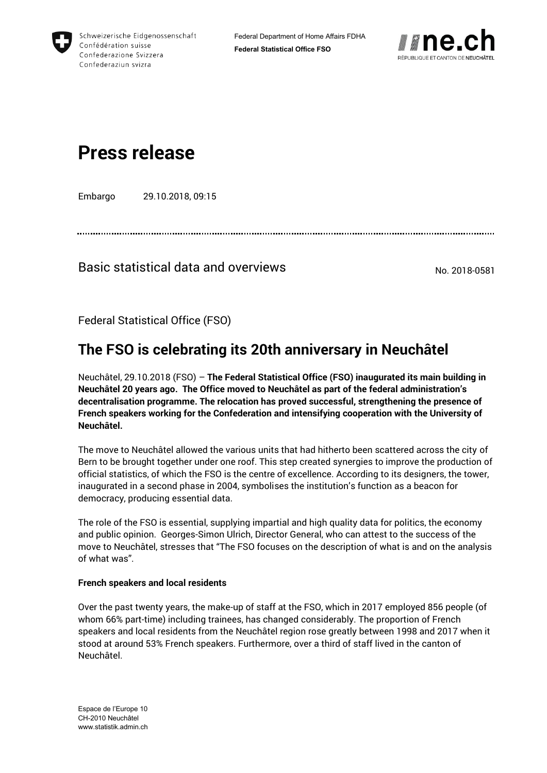



# **Press release**

Embargo 29.10.2018, 09:15

### Basic statistical data and overviews No. 2018-0581

Federal Statistical Office (FSO)

## **The FSO is celebrating its 20th anniversary in Neuchâtel**

Neuchâtel, 29.10.2018 (FSO) – **The Federal Statistical Office (FSO) inaugurated its main building in Neuchâtel 20 years ago. The Office moved to Neuchâtel as part of the federal administration's decentralisation programme. The relocation has proved successful, strengthening the presence of French speakers working for the Confederation and intensifying cooperation with the University of Neuchâtel.**

The move to Neuchâtel allowed the various units that had hitherto been scattered across the city of Bern to be brought together under one roof. This step created synergies to improve the production of official statistics, of which the FSO is the centre of excellence. According to its designers, the tower, inaugurated in a second phase in 2004, symbolises the institution's function as a beacon for democracy, producing essential data.

The role of the FSO is essential, supplying impartial and high quality data for politics, the economy and public opinion. Georges-Simon Ulrich, Director General, who can attest to the success of the move to Neuchâtel, stresses that "The FSO focuses on the description of what is and on the analysis of what was".

#### **French speakers and local residents**

Over the past twenty years, the make-up of staff at the FSO, which in 2017 employed 856 people (of whom 66% part-time) including trainees, has changed considerably. The proportion of French speakers and local residents from the Neuchâtel region rose greatly between 1998 and 2017 when it stood at around 53% French speakers. Furthermore, over a third of staff lived in the canton of Neuchâtel.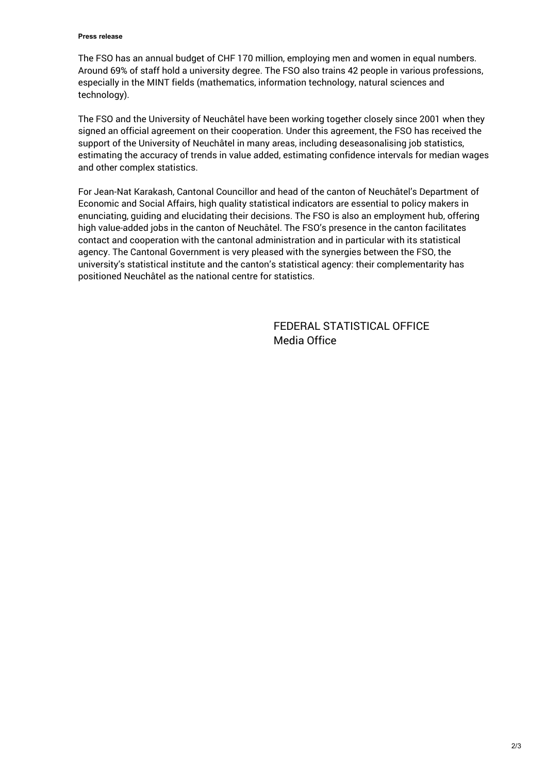#### **Press release**

The FSO has an annual budget of CHF 170 million, employing men and women in equal numbers. Around 69% of staff hold a university degree. The FSO also trains 42 people in various professions, especially in the MINT fields (mathematics, information technology, natural sciences and technology).

The FSO and the University of Neuchâtel have been working together closely since 2001 when they signed an official agreement on their cooperation. Under this agreement, the FSO has received the support of the University of Neuchâtel in many areas, including deseasonalising job statistics, estimating the accuracy of trends in value added, estimating confidence intervals for median wages and other complex statistics.

For Jean-Nat Karakash, Cantonal Councillor and head of the canton of Neuchâtel's Department of Economic and Social Affairs, high quality statistical indicators are essential to policy makers in enunciating, guiding and elucidating their decisions. The FSO is also an employment hub, offering high value-added jobs in the canton of Neuchâtel. The FSO's presence in the canton facilitates contact and cooperation with the cantonal administration and in particular with its statistical agency. The Cantonal Government is very pleased with the synergies between the FSO, the university's statistical institute and the canton's statistical agency: their complementarity has positioned Neuchâtel as the national centre for statistics.

> FEDERAL STATISTICAL OFFICE Media Office